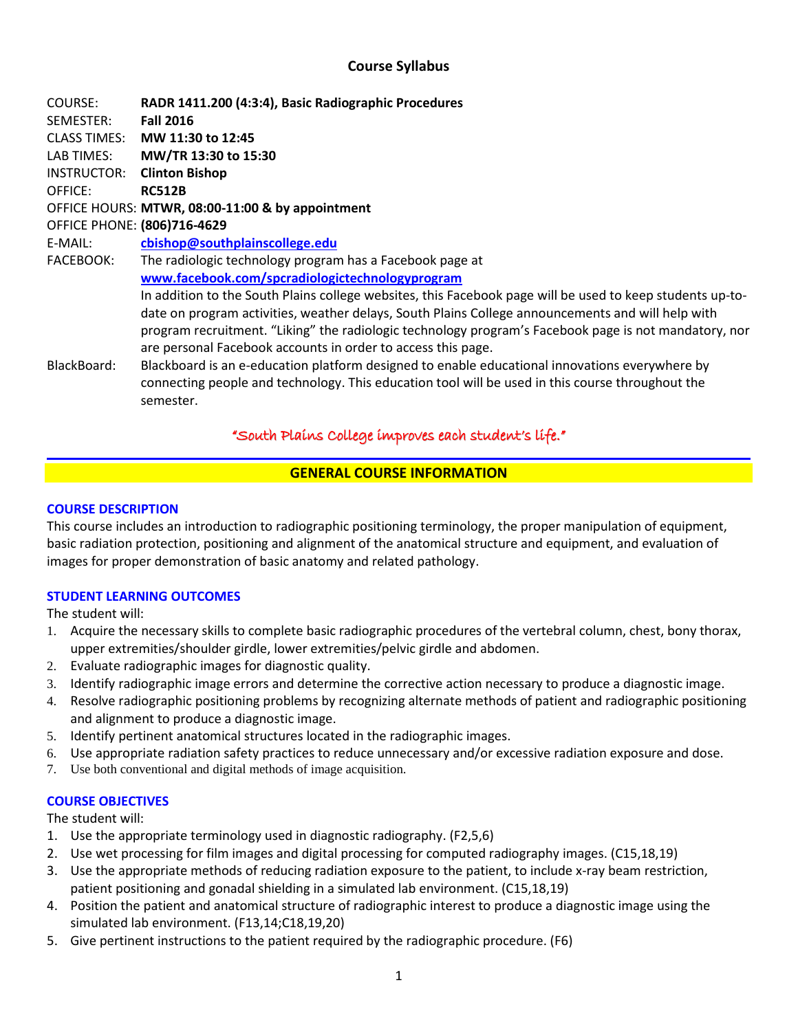# **Course Syllabus**

COURSE: **RADR 1411.200 (4:3:4), Basic Radiographic Procedures** SEMESTER: **Fall 2016** CLASS TIMES: **MW 11:30 to 12:45** LAB TIMES: **MW/TR 13:30 to 15:30** INSTRUCTOR: **Clinton Bishop** OFFICE: **RC512B** OFFICE HOURS: **MTWR, 08:00-11:00 & by appointment** OFFICE PHONE: **(806)716-4629** E-MAIL: **cbishop@southplainscollege.edu** FACEBOOK: The radiologic technology program has a Facebook page at **[www.facebook.com/spcradiologictechnologyprogram](http://www.facebook.com/spcradiologictechnologyprogram)** In addition to the South Plains college websites, this Facebook page will be used to keep students up-todate on program activities, weather delays, South Plains College announcements and will help with program recruitment. "Liking" the radiologic technology program's Facebook page is not mandatory, nor are personal Facebook accounts in order to access this page. BlackBoard: Blackboard is an e-education platform designed to enable educational innovations everywhere by connecting people and technology. This education tool will be used in this course throughout the semester.

# "South Plains College improves each student's life."

# **GENERAL COURSE INFORMATION**

### **COURSE DESCRIPTION**

This course includes an introduction to radiographic positioning terminology, the proper manipulation of equipment, basic radiation protection, positioning and alignment of the anatomical structure and equipment, and evaluation of images for proper demonstration of basic anatomy and related pathology.

# **STUDENT LEARNING OUTCOMES**

The student will:

- 1. Acquire the necessary skills to complete basic radiographic procedures of the vertebral column, chest, bony thorax, upper extremities/shoulder girdle, lower extremities/pelvic girdle and abdomen.
- 2. Evaluate radiographic images for diagnostic quality.
- 3. Identify radiographic image errors and determine the corrective action necessary to produce a diagnostic image.
- 4. Resolve radiographic positioning problems by recognizing alternate methods of patient and radiographic positioning and alignment to produce a diagnostic image.
- 5. Identify pertinent anatomical structures located in the radiographic images.
- 6. Use appropriate radiation safety practices to reduce unnecessary and/or excessive radiation exposure and dose.
- 7. Use both conventional and digital methods of image acquisition.

# **COURSE OBJECTIVES**

The student will:

- 1. Use the appropriate terminology used in diagnostic radiography. (F2,5,6)
- 2. Use wet processing for film images and digital processing for computed radiography images. (C15,18,19)
- 3. Use the appropriate methods of reducing radiation exposure to the patient, to include x-ray beam restriction, patient positioning and gonadal shielding in a simulated lab environment. (C15,18,19)
- 4. Position the patient and anatomical structure of radiographic interest to produce a diagnostic image using the simulated lab environment. (F13,14;C18,19,20)
- 5. Give pertinent instructions to the patient required by the radiographic procedure. (F6)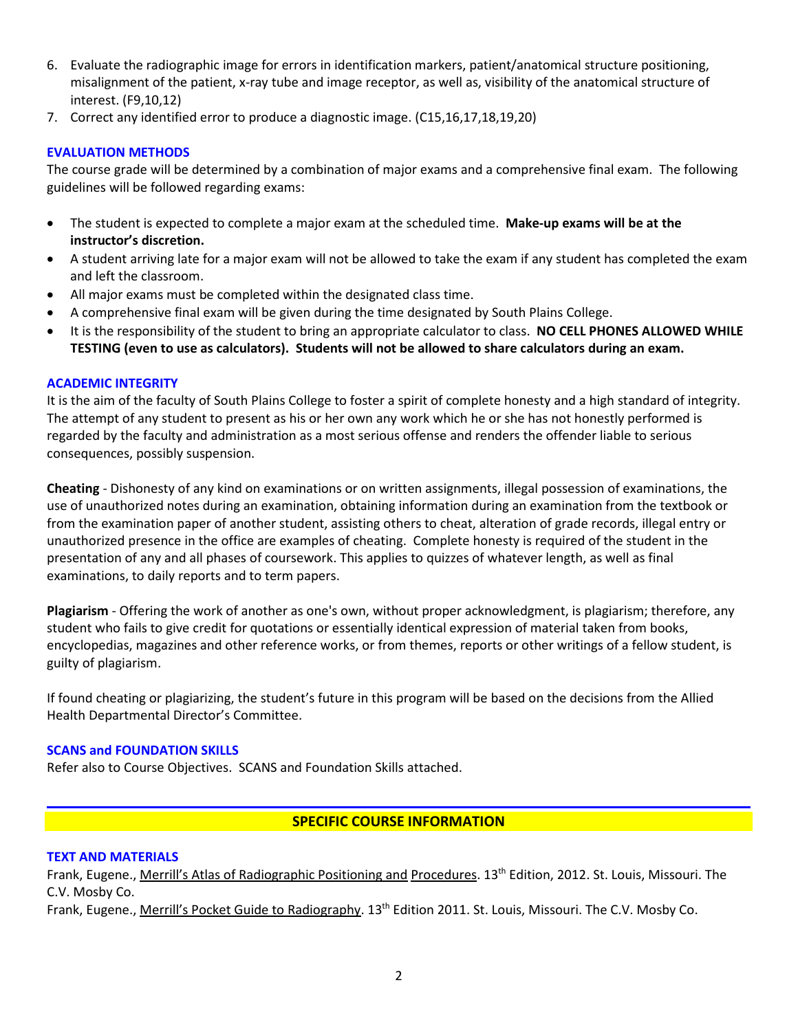- 6. Evaluate the radiographic image for errors in identification markers, patient/anatomical structure positioning, misalignment of the patient, x-ray tube and image receptor, as well as, visibility of the anatomical structure of interest. (F9,10,12)
- 7. Correct any identified error to produce a diagnostic image. (C15,16,17,18,19,20)

### **EVALUATION METHODS**

The course grade will be determined by a combination of major exams and a comprehensive final exam. The following guidelines will be followed regarding exams:

- The student is expected to complete a major exam at the scheduled time. **Make-up exams will be at the instructor's discretion.**
- A student arriving late for a major exam will not be allowed to take the exam if any student has completed the exam and left the classroom.
- All major exams must be completed within the designated class time.
- A comprehensive final exam will be given during the time designated by South Plains College.
- It is the responsibility of the student to bring an appropriate calculator to class. **NO CELL PHONES ALLOWED WHILE TESTING (even to use as calculators). Students will not be allowed to share calculators during an exam.**

#### **ACADEMIC INTEGRITY**

It is the aim of the faculty of South Plains College to foster a spirit of complete honesty and a high standard of integrity. The attempt of any student to present as his or her own any work which he or she has not honestly performed is regarded by the faculty and administration as a most serious offense and renders the offender liable to serious consequences, possibly suspension.

**Cheating** - Dishonesty of any kind on examinations or on written assignments, illegal possession of examinations, the use of unauthorized notes during an examination, obtaining information during an examination from the textbook or from the examination paper of another student, assisting others to cheat, alteration of grade records, illegal entry or unauthorized presence in the office are examples of cheating. Complete honesty is required of the student in the presentation of any and all phases of coursework. This applies to quizzes of whatever length, as well as final examinations, to daily reports and to term papers.

**Plagiarism** - Offering the work of another as one's own, without proper acknowledgment, is plagiarism; therefore, any student who fails to give credit for quotations or essentially identical expression of material taken from books, encyclopedias, magazines and other reference works, or from themes, reports or other writings of a fellow student, is guilty of plagiarism.

If found cheating or plagiarizing, the student's future in this program will be based on the decisions from the Allied Health Departmental Director's Committee.

#### **SCANS and FOUNDATION SKILLS**

Refer also to Course Objectives. SCANS and Foundation Skills attached.

# **SPECIFIC COURSE INFORMATION**

#### **TEXT AND MATERIALS**

Frank, Eugene., Merrill's Atlas of Radiographic Positioning and Procedures. 13<sup>th</sup> Edition, 2012. St. Louis, Missouri. The C.V. Mosby Co.

Frank, Eugene., Merrill's Pocket Guide to Radiography. 13<sup>th</sup> Edition 2011. St. Louis, Missouri. The C.V. Mosby Co.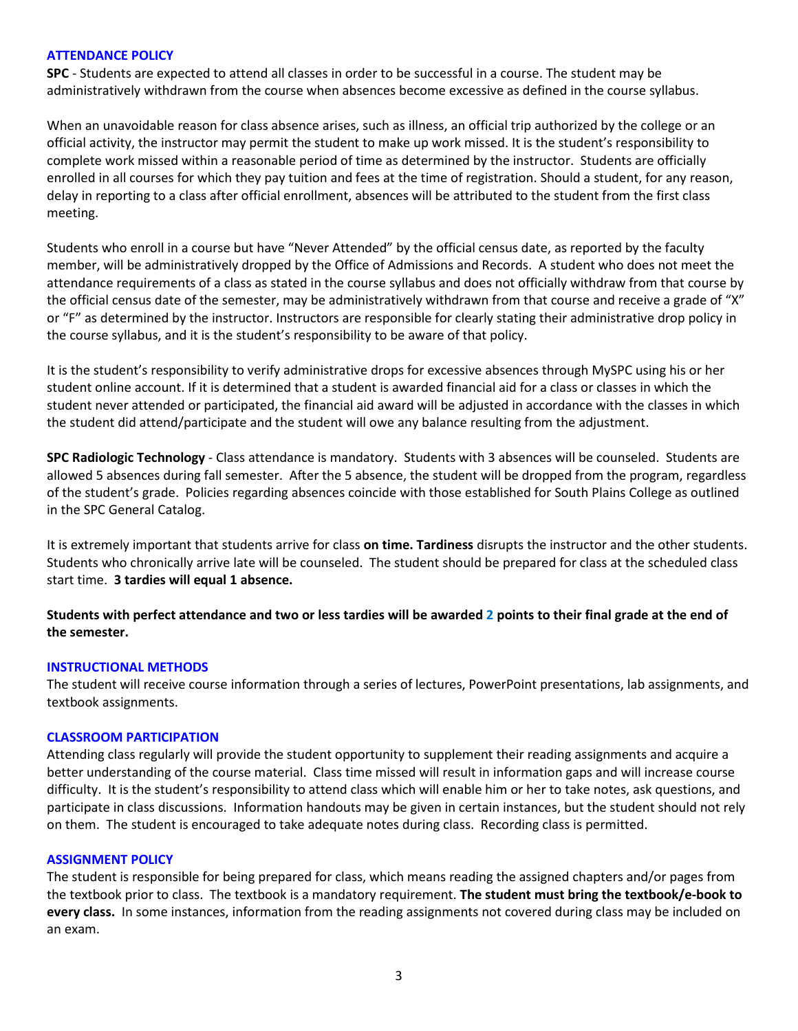#### **ATTENDANCE POLICY**

**SPC** - Students are expected to attend all classes in order to be successful in a course. The student may be administratively withdrawn from the course when absences become excessive as defined in the course syllabus.

When an unavoidable reason for class absence arises, such as illness, an official trip authorized by the college or an official activity, the instructor may permit the student to make up work missed. It is the student's responsibility to complete work missed within a reasonable period of time as determined by the instructor. Students are officially enrolled in all courses for which they pay tuition and fees at the time of registration. Should a student, for any reason, delay in reporting to a class after official enrollment, absences will be attributed to the student from the first class meeting.

Students who enroll in a course but have "Never Attended" by the official census date, as reported by the faculty member, will be administratively dropped by the Office of Admissions and Records. A student who does not meet the attendance requirements of a class as stated in the course syllabus and does not officially withdraw from that course by the official census date of the semester, may be administratively withdrawn from that course and receive a grade of "X" or "F" as determined by the instructor. Instructors are responsible for clearly stating their administrative drop policy in the course syllabus, and it is the student's responsibility to be aware of that policy.

It is the student's responsibility to verify administrative drops for excessive absences through MySPC using his or her student online account. If it is determined that a student is awarded financial aid for a class or classes in which the student never attended or participated, the financial aid award will be adjusted in accordance with the classes in which the student did attend/participate and the student will owe any balance resulting from the adjustment.

**SPC Radiologic Technology** - Class attendance is mandatory. Students with 3 absences will be counseled. Students are allowed 5 absences during fall semester. After the 5 absence, the student will be dropped from the program, regardless of the student's grade. Policies regarding absences coincide with those established for South Plains College as outlined in the SPC General Catalog.

It is extremely important that students arrive for class **on time. Tardiness** disrupts the instructor and the other students. Students who chronically arrive late will be counseled. The student should be prepared for class at the scheduled class start time. **3 tardies will equal 1 absence.**

**Students with perfect attendance and two or less tardies will be awarded 2 points to their final grade at the end of the semester.**

#### **INSTRUCTIONAL METHODS**

The student will receive course information through a series of lectures, PowerPoint presentations, lab assignments, and textbook assignments.

### **CLASSROOM PARTICIPATION**

Attending class regularly will provide the student opportunity to supplement their reading assignments and acquire a better understanding of the course material. Class time missed will result in information gaps and will increase course difficulty. It is the student's responsibility to attend class which will enable him or her to take notes, ask questions, and participate in class discussions. Information handouts may be given in certain instances, but the student should not rely on them. The student is encouraged to take adequate notes during class. Recording class is permitted.

#### **ASSIGNMENT POLICY**

The student is responsible for being prepared for class, which means reading the assigned chapters and/or pages from the textbook prior to class. The textbook is a mandatory requirement. **The student must bring the textbook/e-book to every class.** In some instances, information from the reading assignments not covered during class may be included on an exam.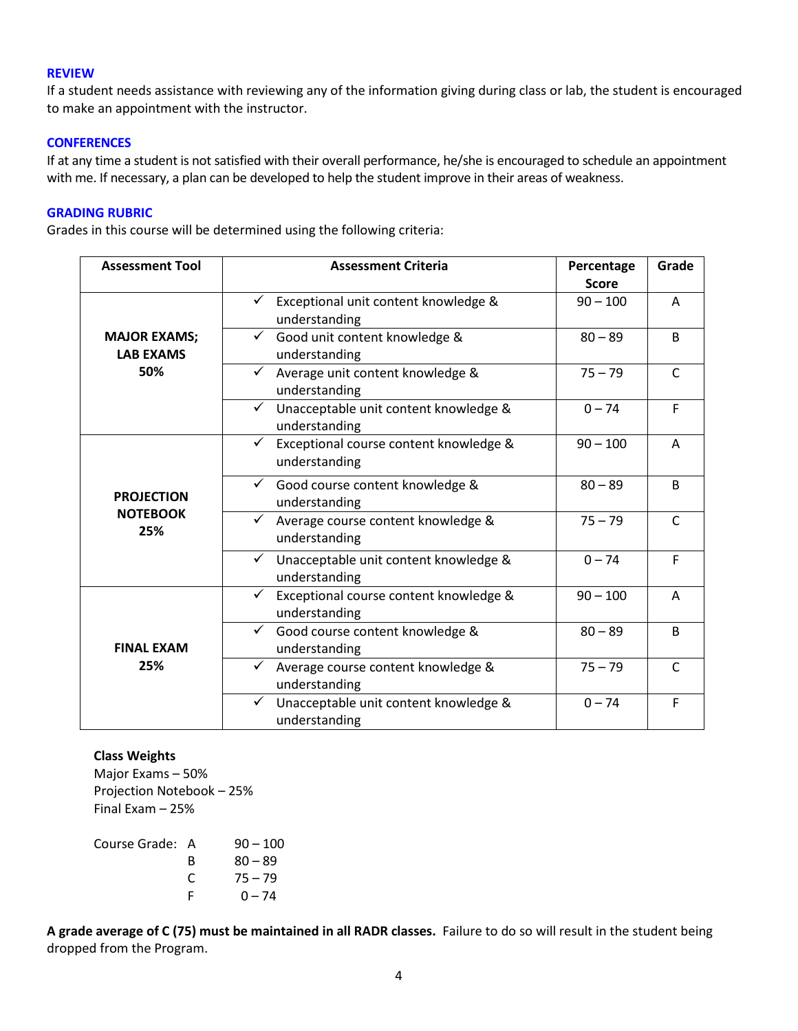#### **REVIEW**

If a student needs assistance with reviewing any of the information giving during class or lab, the student is encouraged to make an appointment with the instructor.

### **CONFERENCES**

If at any time a student is not satisfied with their overall performance, he/she is encouraged to schedule an appointment with me. If necessary, a plan can be developed to help the student improve in their areas of weakness.

#### **GRADING RUBRIC**

Grades in this course will be determined using the following criteria:

| <b>Assessment Tool</b>                         | <b>Assessment Criteria</b>                                              | Percentage<br><b>Score</b> | Grade        |
|------------------------------------------------|-------------------------------------------------------------------------|----------------------------|--------------|
|                                                | Exceptional unit content knowledge &<br>understanding                   | $90 - 100$                 | A            |
| <b>MAJOR EXAMS;</b><br><b>LAB EXAMS</b><br>50% | Good unit content knowledge &<br>✓<br>understanding                     | $80 - 89$                  | B            |
|                                                | Average unit content knowledge &<br>$\checkmark$<br>understanding       | $75 - 79$                  | $\mathsf{C}$ |
|                                                | Unacceptable unit content knowledge &<br>✓<br>understanding             | $0 - 74$                   | F            |
| <b>PROJECTION</b><br><b>NOTEBOOK</b><br>25%    | Exceptional course content knowledge &<br>✓<br>understanding            | $90 - 100$                 | Α            |
|                                                | Good course content knowledge &<br>understanding                        | $80 - 89$                  | B            |
|                                                | Average course content knowledge &<br>understanding                     | $75 - 79$                  | $\mathsf{C}$ |
|                                                | Unacceptable unit content knowledge &<br>$\checkmark$<br>understanding  | $0 - 74$                   | F            |
| <b>FINAL EXAM</b><br>25%                       | $\checkmark$<br>Exceptional course content knowledge &<br>understanding | $90 - 100$                 | A            |
|                                                | Good course content knowledge &<br>$\checkmark$<br>understanding        | $80 - 89$                  | B            |
|                                                | Average course content knowledge &<br>understanding                     | $75 - 79$                  | $\mathsf{C}$ |
|                                                | Unacceptable unit content knowledge &<br>✓<br>understanding             | $0 - 74$                   | F            |

#### **Class Weights**

Major Exams – 50% Projection Notebook – 25% Final Exam – 25%

| Course Grade: A |   | $90 - 100$ |
|-----------------|---|------------|
|                 | R | $80 - 89$  |
|                 | C | $75 - 79$  |
|                 |   | $0 - 74$   |

**A grade average of C (75) must be maintained in all RADR classes.** Failure to do so will result in the student being dropped from the Program.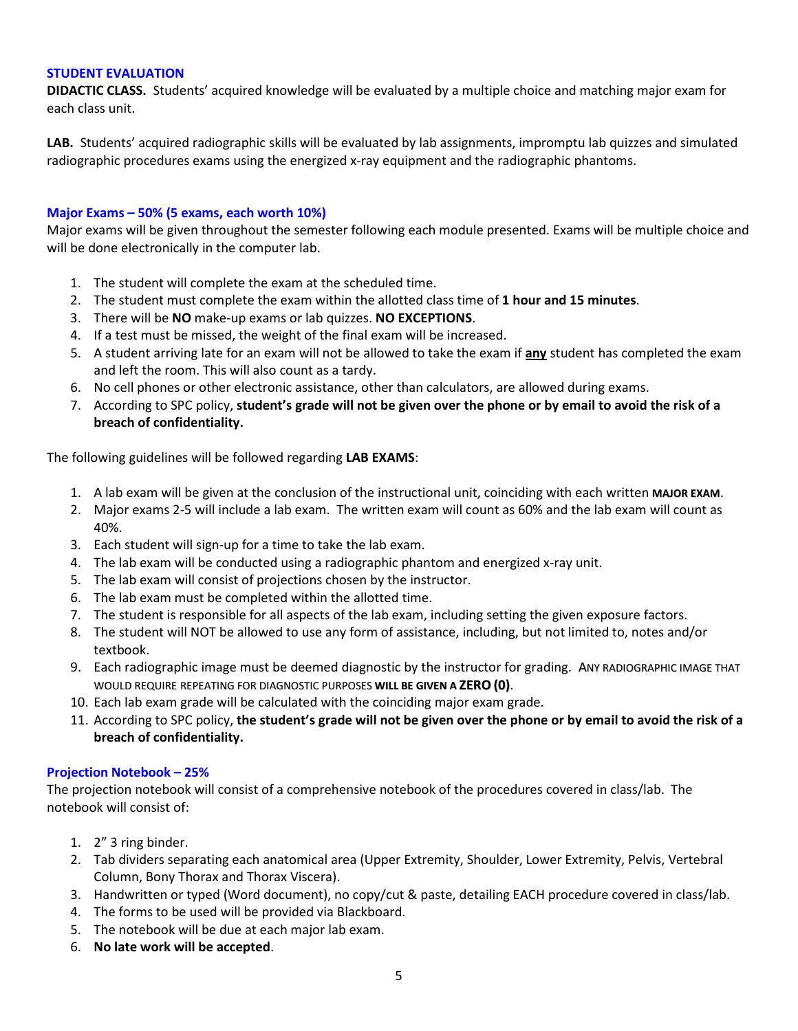#### **STUDENT EVALUATION**

**DIDACTIC CLASS.** Students' acquired knowledge will be evaluated by a multiple choice and matching major exam for each class unit.

**LAB.** Students' acquired radiographic skills will be evaluated by lab assignments, impromptu lab quizzes and simulated radiographic procedures exams using the energized x-ray equipment and the radiographic phantoms.

# **Major Exams – 50% (5 exams, each worth 10%)**

Major exams will be given throughout the semester following each module presented. Exams will be multiple choice and will be done electronically in the computer lab.

- 1. The student will complete the exam at the scheduled time.
- 2. The student must complete the exam within the allotted class time of **1 hour and 15 minutes**.
- 3. There will be **NO** make-up exams or lab quizzes. **NO EXCEPTIONS**.
- 4. If a test must be missed, the weight of the final exam will be increased.
- 5. A student arriving late for an exam will not be allowed to take the exam if **any** student has completed the exam and left the room. This will also count as a tardy.
- 6. No cell phones or other electronic assistance, other than calculators, are allowed during exams.
- 7. According to SPC policy, **student's grade will not be given over the phone or by email to avoid the risk of a breach of confidentiality.**

The following guidelines will be followed regarding **LAB EXAMS**:

- 1. A lab exam will be given at the conclusion of the instructional unit, coinciding with each written **MAJOR EXAM**.
- 2. Major exams 2-5 will include a lab exam. The written exam will count as 60% and the lab exam will count as 40%.
- 3. Each student will sign-up for a time to take the lab exam.
- 4. The lab exam will be conducted using a radiographic phantom and energized x-ray unit.
- 5. The lab exam will consist of projections chosen by the instructor.
- 6. The lab exam must be completed within the allotted time.
- 7. The student is responsible for all aspects of the lab exam, including setting the given exposure factors.
- 8. The student will NOT be allowed to use any form of assistance, including, but not limited to, notes and/or textbook.
- 9. Each radiographic image must be deemed diagnostic by the instructor for grading. ANY RADIOGRAPHIC IMAGE THAT WOULD REQUIRE REPEATING FOR DIAGNOSTIC PURPOSES **WILL BE GIVEN A ZERO(0)**.
- 10. Each lab exam grade will be calculated with the coinciding major exam grade.
- 11. According to SPC policy, **the student's grade will not be given over the phone or by email to avoid the risk of a breach of confidentiality.**

# **Projection Notebook – 25%**

The projection notebook will consist of a comprehensive notebook of the procedures covered in class/lab. The notebook will consist of:

- 1. 2" 3 ring binder.
- 2. Tab dividers separating each anatomical area (Upper Extremity, Shoulder, Lower Extremity, Pelvis, Vertebral Column, Bony Thorax and Thorax Viscera).
- 3. Handwritten or typed (Word document), no copy/cut & paste, detailing EACH procedure covered in class/lab.
- 4. The forms to be used will be provided via Blackboard.
- 5. The notebook will be due at each major lab exam.
- 6. **No late work will be accepted**.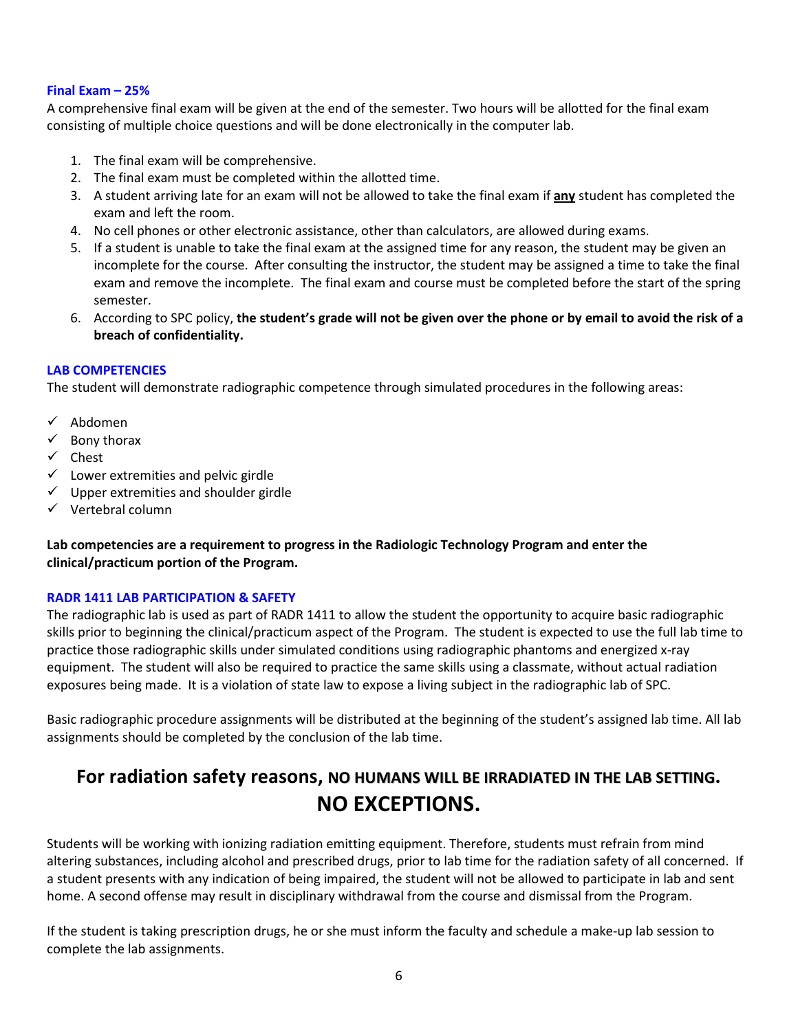### **Final Exam – 25%**

A comprehensive final exam will be given at the end of the semester. Two hours will be allotted for the final exam consisting of multiple choice questions and will be done electronically in the computer lab.

- 1. The final exam will be comprehensive.
- 2. The final exam must be completed within the allotted time.
- 3. A student arriving late for an exam will not be allowed to take the final exam if **any** student has completed the exam and left the room.
- 4. No cell phones or other electronic assistance, other than calculators, are allowed during exams.
- 5. If a student is unable to take the final exam at the assigned time for any reason, the student may be given an incomplete for the course. After consulting the instructor, the student may be assigned a time to take the final exam and remove the incomplete. The final exam and course must be completed before the start of the spring semester.
- 6. According to SPC policy, **the student's grade will not be given over the phone or by email to avoid the risk of a breach of confidentiality.**

# **LAB COMPETENCIES**

The student will demonstrate radiographic competence through simulated procedures in the following areas:

- $\checkmark$  Abdomen
- $\checkmark$  Bony thorax
- $\checkmark$  Chest
- $\checkmark$  Lower extremities and pelvic girdle
- $\checkmark$  Upper extremities and shoulder girdle
- $\checkmark$  Vertebral column

**Lab competencies are a requirement to progress in the Radiologic Technology Program and enter the clinical/practicum portion of the Program.** 

# **RADR 1411 LAB PARTICIPATION & SAFETY**

The radiographic lab is used as part of RADR 1411 to allow the student the opportunity to acquire basic radiographic skills prior to beginning the clinical/practicum aspect of the Program. The student is expected to use the full lab time to practice those radiographic skills under simulated conditions using radiographic phantoms and energized x-ray equipment. The student will also be required to practice the same skills using a classmate, without actual radiation exposures being made. It is a violation of state law to expose a living subject in the radiographic lab of SPC.

Basic radiographic procedure assignments will be distributed at the beginning of the student's assigned lab time. All lab assignments should be completed by the conclusion of the lab time.

# **For radiation safety reasons, NO HUMANS WILL BE IRRADIATED IN THE LAB SETTING. NO EXCEPTIONS.**

Students will be working with ionizing radiation emitting equipment. Therefore, students must refrain from mind altering substances, including alcohol and prescribed drugs, prior to lab time for the radiation safety of all concerned. If a student presents with any indication of being impaired, the student will not be allowed to participate in lab and sent home. A second offense may result in disciplinary withdrawal from the course and dismissal from the Program.

If the student is taking prescription drugs, he or she must inform the faculty and schedule a make-up lab session to complete the lab assignments.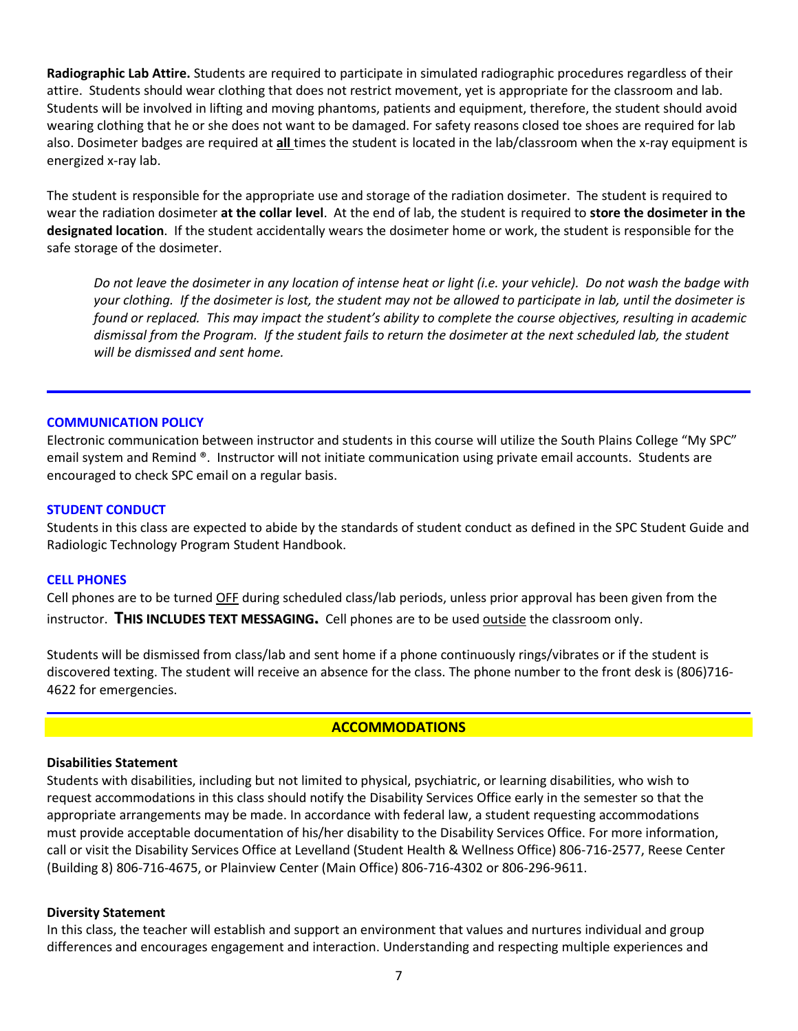**Radiographic Lab Attire.** Students are required to participate in simulated radiographic procedures regardless of their attire. Students should wear clothing that does not restrict movement, yet is appropriate for the classroom and lab. Students will be involved in lifting and moving phantoms, patients and equipment, therefore, the student should avoid wearing clothing that he or she does not want to be damaged. For safety reasons closed toe shoes are required for lab also. Dosimeter badges are required at **all** times the student is located in the lab/classroom when the x-ray equipment is energized x-ray lab.

The student is responsible for the appropriate use and storage of the radiation dosimeter. The student is required to wear the radiation dosimeter **at the collar level**. At the end of lab, the student is required to **store the dosimeter in the designated location**. If the student accidentally wears the dosimeter home or work, the student is responsible for the safe storage of the dosimeter.

*Do not leave the dosimeter in any location of intense heat or light (i.e. your vehicle). Do not wash the badge with your clothing. If the dosimeter is lost, the student may not be allowed to participate in lab, until the dosimeter is*  found or replaced. This may impact the student's ability to complete the course objectives, resulting in academic *dismissal from the Program. If the student fails to return the dosimeter at the next scheduled lab, the student will be dismissed and sent home.*

### **COMMUNICATION POLICY**

Electronic communication between instructor and students in this course will utilize the South Plains College "My SPC" email system and Remind ®. Instructor will not initiate communication using private email accounts. Students are encouraged to check SPC email on a regular basis.

#### **STUDENT CONDUCT**

Students in this class are expected to abide by the standards of student conduct as defined in the SPC Student Guide and Radiologic Technology Program Student Handbook.

#### **CELL PHONES**

Cell phones are to be turned OFF during scheduled class/lab periods, unless prior approval has been given from the instructor. **THIS INCLUDES TEXT MESSAGING.** Cell phones are to be used outside the classroom only.

Students will be dismissed from class/lab and sent home if a phone continuously rings/vibrates or if the student is discovered texting. The student will receive an absence for the class. The phone number to the front desk is (806)716- 4622 for emergencies.

# **ACCOMMODATIONS**

#### **Disabilities Statement**

Students with disabilities, including but not limited to physical, psychiatric, or learning disabilities, who wish to request accommodations in this class should notify the Disability Services Office early in the semester so that the appropriate arrangements may be made. In accordance with federal law, a student requesting accommodations must provide acceptable documentation of his/her disability to the Disability Services Office. For more information, call or visit the Disability Services Office at Levelland (Student Health & Wellness Office) 806-716-2577, Reese Center (Building 8) 806-716-4675, or Plainview Center (Main Office) 806-716-4302 or 806-296-9611.

#### **Diversity Statement**

In this class, the teacher will establish and support an environment that values and nurtures individual and group differences and encourages engagement and interaction. Understanding and respecting multiple experiences and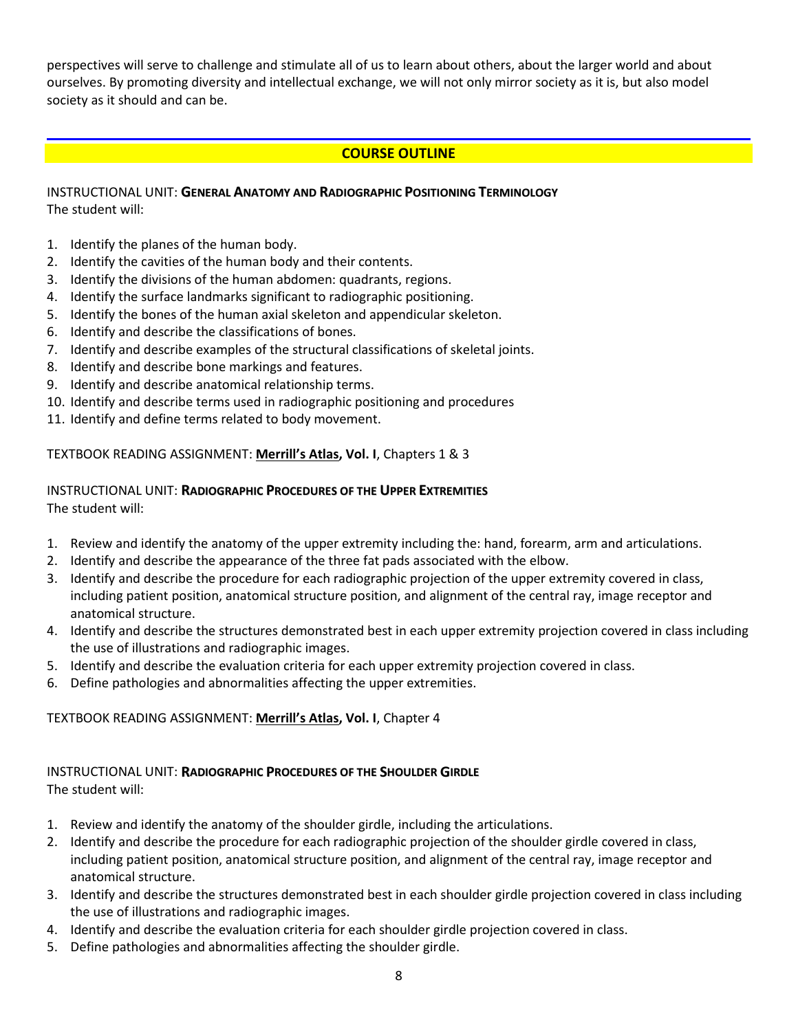perspectives will serve to challenge and stimulate all of us to learn about others, about the larger world and about ourselves. By promoting diversity and intellectual exchange, we will not only mirror society as it is, but also model society as it should and can be.

# **COURSE OUTLINE**

# INSTRUCTIONAL UNIT: **GENERAL ANATOMY AND RADIOGRAPHIC POSITIONING TERMINOLOGY** The student will:

- 1. Identify the planes of the human body.
- 2. Identify the cavities of the human body and their contents.
- 3. Identify the divisions of the human abdomen: quadrants, regions.
- 4. Identify the surface landmarks significant to radiographic positioning.
- 5. Identify the bones of the human axial skeleton and appendicular skeleton.
- 6. Identify and describe the classifications of bones.
- 7. Identify and describe examples of the structural classifications of skeletal joints.
- 8. Identify and describe bone markings and features.
- 9. Identify and describe anatomical relationship terms.
- 10. Identify and describe terms used in radiographic positioning and procedures
- 11. Identify and define terms related to body movement.

# TEXTBOOK READING ASSIGNMENT: **Merrill's Atlas, Vol. I**, Chapters 1 & 3

### INSTRUCTIONAL UNIT: **RADIOGRAPHIC PROCEDURES OF THE UPPER EXTREMITIES** The student will:

- 1. Review and identify the anatomy of the upper extremity including the: hand, forearm, arm and articulations.
- 2. Identify and describe the appearance of the three fat pads associated with the elbow.
- 3. Identify and describe the procedure for each radiographic projection of the upper extremity covered in class, including patient position, anatomical structure position, and alignment of the central ray, image receptor and anatomical structure.
- 4. Identify and describe the structures demonstrated best in each upper extremity projection covered in class including the use of illustrations and radiographic images.
- 5. Identify and describe the evaluation criteria for each upper extremity projection covered in class.
- 6. Define pathologies and abnormalities affecting the upper extremities.

# TEXTBOOK READING ASSIGNMENT: **Merrill's Atlas, Vol. I**, Chapter 4

# INSTRUCTIONAL UNIT: **RADIOGRAPHIC PROCEDURES OF THE SHOULDER GIRDLE** The student will:

- 1. Review and identify the anatomy of the shoulder girdle, including the articulations.
- 2. Identify and describe the procedure for each radiographic projection of the shoulder girdle covered in class, including patient position, anatomical structure position, and alignment of the central ray, image receptor and anatomical structure.
- 3. Identify and describe the structures demonstrated best in each shoulder girdle projection covered in class including the use of illustrations and radiographic images.
- 4. Identify and describe the evaluation criteria for each shoulder girdle projection covered in class.
- 5. Define pathologies and abnormalities affecting the shoulder girdle.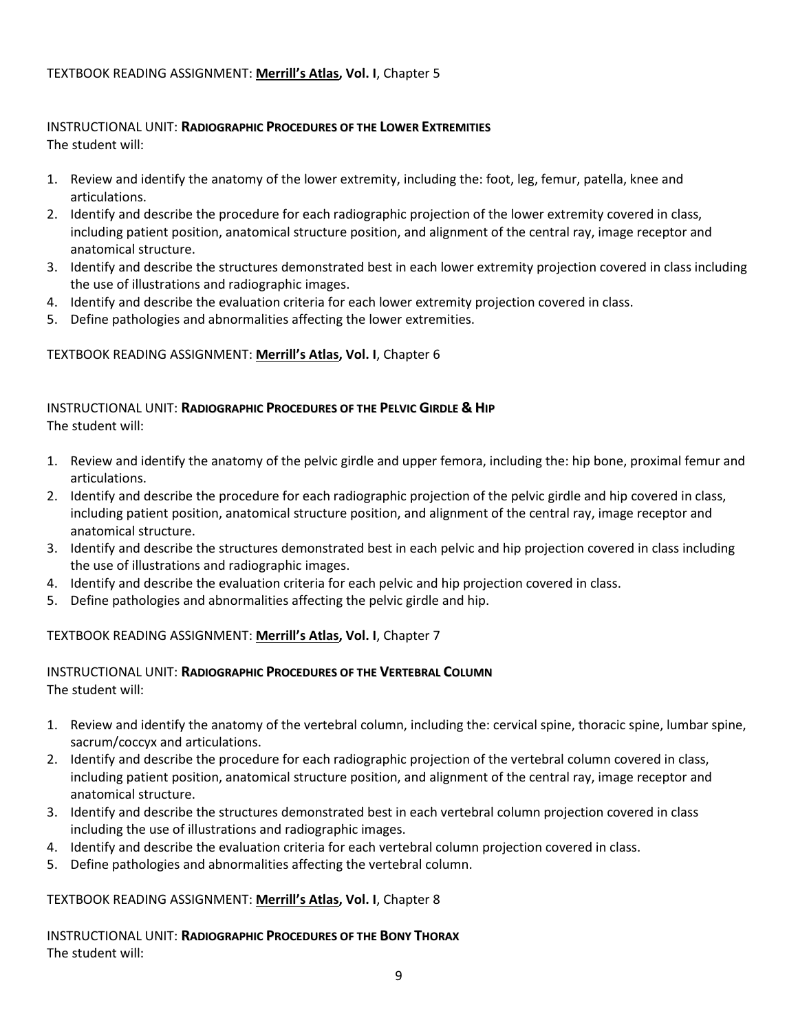# TEXTBOOK READING ASSIGNMENT: **Merrill's Atlas, Vol. I**, Chapter 5

# INSTRUCTIONAL UNIT: **RADIOGRAPHIC PROCEDURES OF THE LOWER EXTREMITIES** The student will:

- 1. Review and identify the anatomy of the lower extremity, including the: foot, leg, femur, patella, knee and articulations.
- 2. Identify and describe the procedure for each radiographic projection of the lower extremity covered in class, including patient position, anatomical structure position, and alignment of the central ray, image receptor and anatomical structure.
- 3. Identify and describe the structures demonstrated best in each lower extremity projection covered in class including the use of illustrations and radiographic images.
- 4. Identify and describe the evaluation criteria for each lower extremity projection covered in class.
- 5. Define pathologies and abnormalities affecting the lower extremities.

# TEXTBOOK READING ASSIGNMENT: **Merrill's Atlas, Vol. I**, Chapter 6

# INSTRUCTIONAL UNIT: **RADIOGRAPHIC PROCEDURES OF THE PELVIC GIRDLE & HIP** The student will:

- 1. Review and identify the anatomy of the pelvic girdle and upper femora, including the: hip bone, proximal femur and articulations.
- 2. Identify and describe the procedure for each radiographic projection of the pelvic girdle and hip covered in class, including patient position, anatomical structure position, and alignment of the central ray, image receptor and anatomical structure.
- 3. Identify and describe the structures demonstrated best in each pelvic and hip projection covered in class including the use of illustrations and radiographic images.
- 4. Identify and describe the evaluation criteria for each pelvic and hip projection covered in class.
- 5. Define pathologies and abnormalities affecting the pelvic girdle and hip.

# TEXTBOOK READING ASSIGNMENT: **Merrill's Atlas, Vol. I**, Chapter 7

### INSTRUCTIONAL UNIT: **RADIOGRAPHIC PROCEDURES OF THE VERTEBRAL COLUMN** The student will:

- 1. Review and identify the anatomy of the vertebral column, including the: cervical spine, thoracic spine, lumbar spine, sacrum/coccyx and articulations.
- 2. Identify and describe the procedure for each radiographic projection of the vertebral column covered in class, including patient position, anatomical structure position, and alignment of the central ray, image receptor and anatomical structure.
- 3. Identify and describe the structures demonstrated best in each vertebral column projection covered in class including the use of illustrations and radiographic images.
- 4. Identify and describe the evaluation criteria for each vertebral column projection covered in class.
- 5. Define pathologies and abnormalities affecting the vertebral column.

# TEXTBOOK READING ASSIGNMENT: **Merrill's Atlas, Vol. I**, Chapter 8

INSTRUCTIONAL UNIT: **RADIOGRAPHIC PROCEDURES OF THE BONY THORAX** The student will: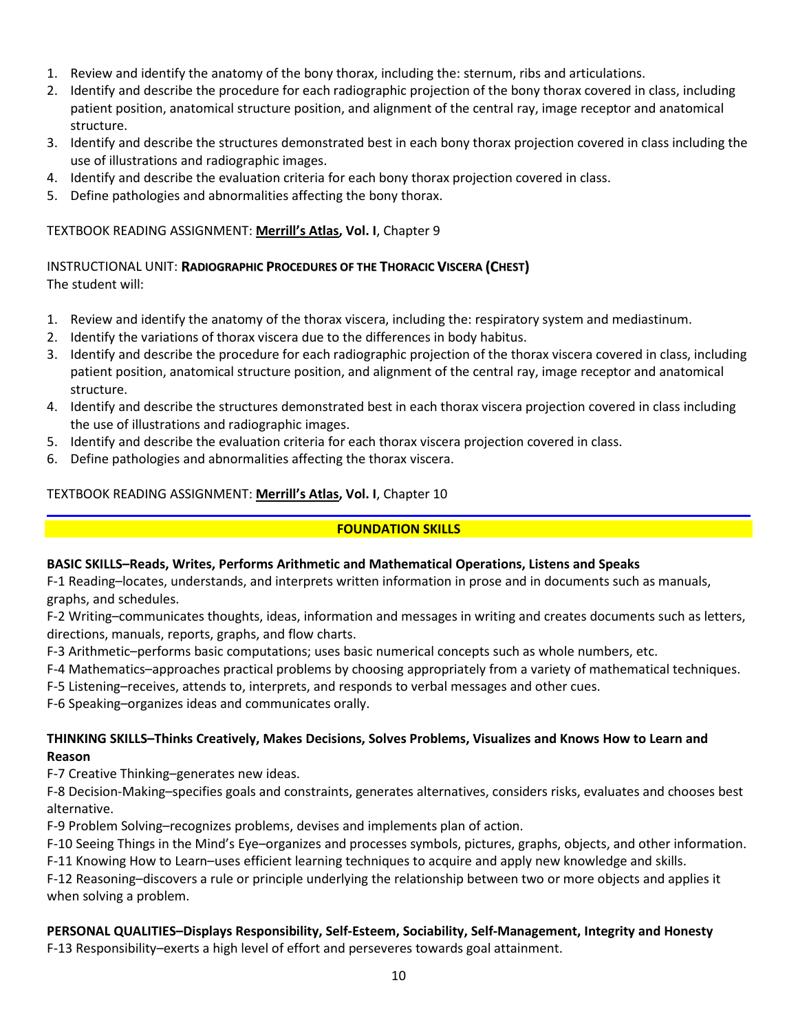- 1. Review and identify the anatomy of the bony thorax, including the: sternum, ribs and articulations.
- 2. Identify and describe the procedure for each radiographic projection of the bony thorax covered in class, including patient position, anatomical structure position, and alignment of the central ray, image receptor and anatomical structure.
- 3. Identify and describe the structures demonstrated best in each bony thorax projection covered in class including the use of illustrations and radiographic images.
- 4. Identify and describe the evaluation criteria for each bony thorax projection covered in class.
- 5. Define pathologies and abnormalities affecting the bony thorax.

# TEXTBOOK READING ASSIGNMENT: **Merrill's Atlas, Vol. I**, Chapter 9

# INSTRUCTIONAL UNIT: **RADIOGRAPHIC PROCEDURES OF THE THORACIC VISCERA (CHEST)** The student will:

- 1. Review and identify the anatomy of the thorax viscera, including the: respiratory system and mediastinum.
- 2. Identify the variations of thorax viscera due to the differences in body habitus.
- 3. Identify and describe the procedure for each radiographic projection of the thorax viscera covered in class, including patient position, anatomical structure position, and alignment of the central ray, image receptor and anatomical structure.
- 4. Identify and describe the structures demonstrated best in each thorax viscera projection covered in class including the use of illustrations and radiographic images.
- 5. Identify and describe the evaluation criteria for each thorax viscera projection covered in class.
- 6. Define pathologies and abnormalities affecting the thorax viscera.

# TEXTBOOK READING ASSIGNMENT: **Merrill's Atlas, Vol. I**, Chapter 10

# **FOUNDATION SKILLS**

# **BASIC SKILLS–Reads, Writes, Performs Arithmetic and Mathematical Operations, Listens and Speaks**

F-1 Reading–locates, understands, and interprets written information in prose and in documents such as manuals, graphs, and schedules.

F-2 Writing–communicates thoughts, ideas, information and messages in writing and creates documents such as letters, directions, manuals, reports, graphs, and flow charts.

F-3 Arithmetic–performs basic computations; uses basic numerical concepts such as whole numbers, etc.

F-4 Mathematics–approaches practical problems by choosing appropriately from a variety of mathematical techniques.

F-5 Listening–receives, attends to, interprets, and responds to verbal messages and other cues.

F-6 Speaking–organizes ideas and communicates orally.

# **THINKING SKILLS–Thinks Creatively, Makes Decisions, Solves Problems, Visualizes and Knows How to Learn and Reason**

F-7 Creative Thinking–generates new ideas.

F-8 Decision-Making–specifies goals and constraints, generates alternatives, considers risks, evaluates and chooses best alternative.

F-9 Problem Solving–recognizes problems, devises and implements plan of action.

F-10 Seeing Things in the Mind's Eye–organizes and processes symbols, pictures, graphs, objects, and other information.

F-11 Knowing How to Learn–uses efficient learning techniques to acquire and apply new knowledge and skills.

F-12 Reasoning–discovers a rule or principle underlying the relationship between two or more objects and applies it when solving a problem.

# **PERSONAL QUALITIES–Displays Responsibility, Self-Esteem, Sociability, Self-Management, Integrity and Honesty** F-13 Responsibility–exerts a high level of effort and perseveres towards goal attainment.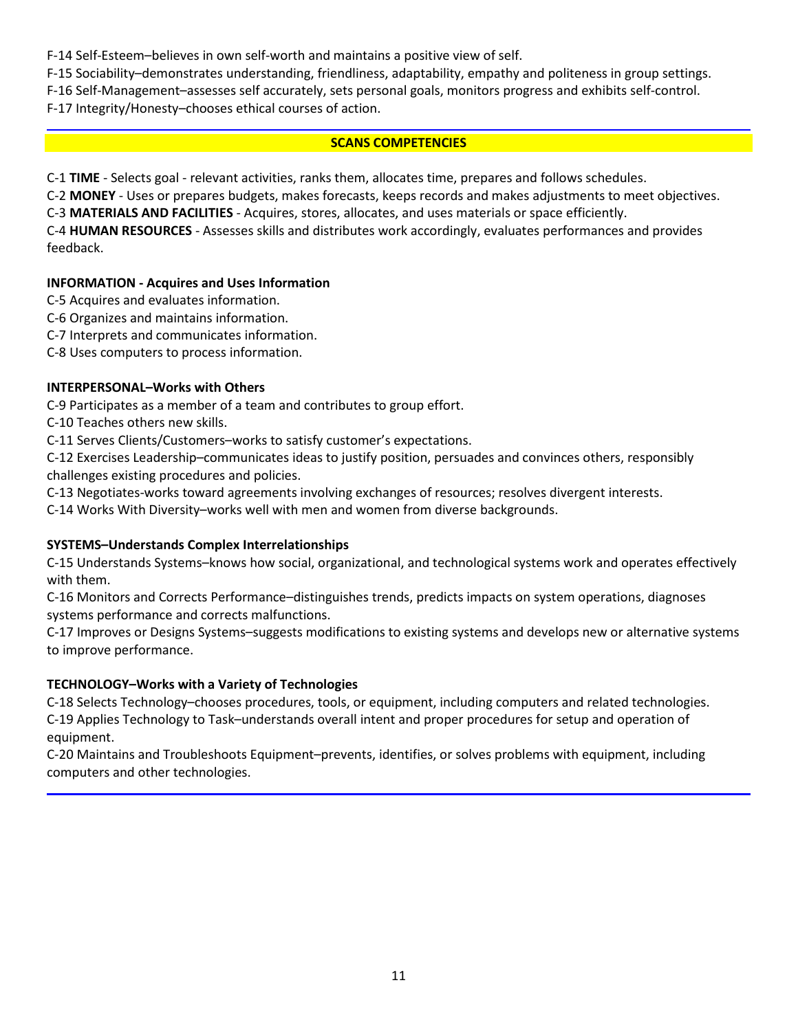F-14 Self-Esteem–believes in own self-worth and maintains a positive view of self.

F-15 Sociability–demonstrates understanding, friendliness, adaptability, empathy and politeness in group settings.

F-16 Self-Management–assesses self accurately, sets personal goals, monitors progress and exhibits self-control.

F-17 Integrity/Honesty–chooses ethical courses of action.

# **SCANS COMPETENCIES**

C-1 **TIME** - Selects goal - relevant activities, ranks them, allocates time, prepares and follows schedules.

C-2 **MONEY** - Uses or prepares budgets, makes forecasts, keeps records and makes adjustments to meet objectives.

C-3 **MATERIALS AND FACILITIES** - Acquires, stores, allocates, and uses materials or space efficiently.

C-4 **HUMAN RESOURCES** - Assesses skills and distributes work accordingly, evaluates performances and provides feedback.

# **INFORMATION - Acquires and Uses Information**

- C-5 Acquires and evaluates information.
- C-6 Organizes and maintains information.
- C-7 Interprets and communicates information.

C-8 Uses computers to process information.

# **INTERPERSONAL–Works with Others**

C-9 Participates as a member of a team and contributes to group effort.

C-10 Teaches others new skills.

C-11 Serves Clients/Customers–works to satisfy customer's expectations.

C-12 Exercises Leadership–communicates ideas to justify position, persuades and convinces others, responsibly challenges existing procedures and policies.

C-13 Negotiates-works toward agreements involving exchanges of resources; resolves divergent interests.

C-14 Works With Diversity–works well with men and women from diverse backgrounds.

# **SYSTEMS–Understands Complex Interrelationships**

C-15 Understands Systems–knows how social, organizational, and technological systems work and operates effectively with them.

C-16 Monitors and Corrects Performance–distinguishes trends, predicts impacts on system operations, diagnoses systems performance and corrects malfunctions.

C-17 Improves or Designs Systems–suggests modifications to existing systems and develops new or alternative systems to improve performance.

# **TECHNOLOGY–Works with a Variety of Technologies**

C-18 Selects Technology–chooses procedures, tools, or equipment, including computers and related technologies. C-19 Applies Technology to Task–understands overall intent and proper procedures for setup and operation of equipment.

C-20 Maintains and Troubleshoots Equipment–prevents, identifies, or solves problems with equipment, including computers and other technologies.